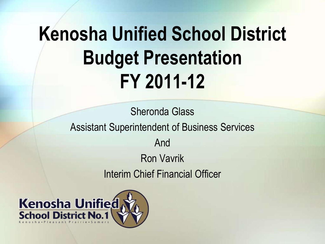## **Kenosha Unified School District Budget Presentation FY 2011-12**

Sheronda Glass Assistant Superintendent of Business Services And Ron Vavrik Interim Chief Financial Officer

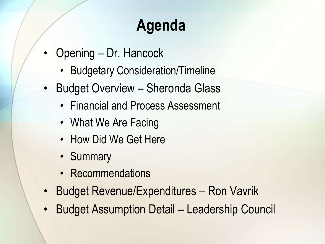## **Agenda**

- Opening Dr. Hancock
	- Budgetary Consideration/Timeline
- Budget Overview Sheronda Glass
	- Financial and Process Assessment
	- What We Are Facing
	- How Did We Get Here
	- Summary
	- Recommendations
- Budget Revenue/Expenditures Ron Vavrik
- Budget Assumption Detail Leadership Council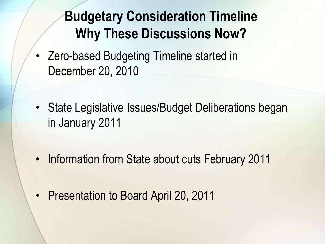#### **Budgetary Consideration Timeline Why These Discussions Now?**

- Zero-based Budgeting Timeline started in December 20, 2010
- State Legislative Issues/Budget Deliberations began in January 2011
- Information from State about cuts February 2011
- Presentation to Board April 20, 2011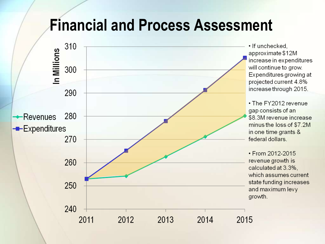#### **Financial and Process Assessment**

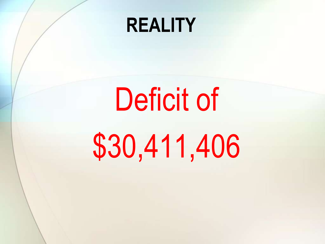## **REALITY**

# Deficit of \$30,411,406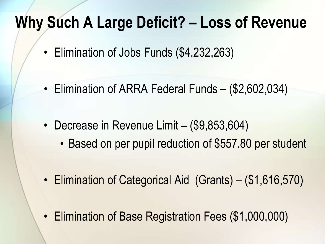#### **Why Such A Large Deficit? – Loss of Revenue**

- Elimination of Jobs Funds (\$4,232,263)
- Elimination of ARRA Federal Funds (\$2,602,034)
- Decrease in Revenue Limit (\$9,853,604)
	- Based on per pupil reduction of \$557.80 per student
- Elimination of Categorical Aid (Grants) (\$1,616,570)
- Elimination of Base Registration Fees (\$1,000,000)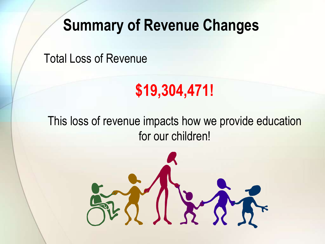#### **Summary of Revenue Changes**

Total Loss of Revenue

## **\$19,304,471!**

This loss of revenue impacts how we provide education for our children!

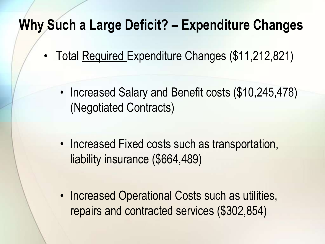#### **Why Such a Large Deficit? – Expenditure Changes**

- Total Required Expenditure Changes (\$11,212,821)
	- Increased Salary and Benefit costs (\$10,245,478) (Negotiated Contracts)
	- Increased Fixed costs such as transportation, liability insurance (\$664,489)
	- Increased Operational Costs such as utilities, repairs and contracted services (\$302,854)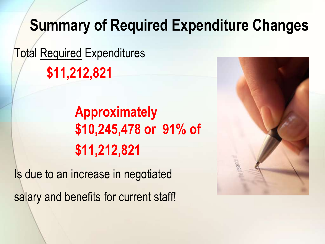#### **Summary of Required Expenditure Changes**

Total Required Expenditures **\$11,212,821**

> **Approximately \$10,245,478 or 91% of \$11,212,821**

Is due to an increase in negotiated salary and benefits for current staff!

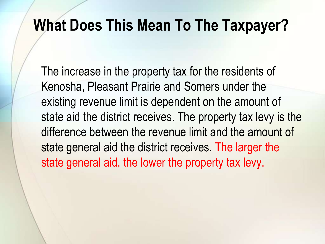#### **What Does This Mean To The Taxpayer?**

The increase in the property tax for the residents of Kenosha, Pleasant Prairie and Somers under the existing revenue limit is dependent on the amount of state aid the district receives. The property tax levy is the difference between the revenue limit and the amount of state general aid the district receives. The larger the state general aid, the lower the property tax levy.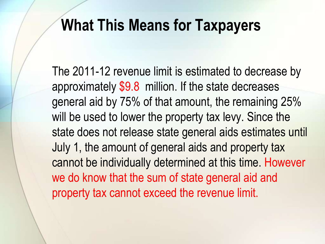#### **What This Means for Taxpayers**

The 2011-12 revenue limit is estimated to decrease by approximately \$9.8 million. If the state decreases general aid by 75% of that amount, the remaining 25% will be used to lower the property tax levy. Since the state does not release state general aids estimates until July 1, the amount of general aids and property tax cannot be individually determined at this time. However we do know that the sum of state general aid and property tax cannot exceed the revenue limit.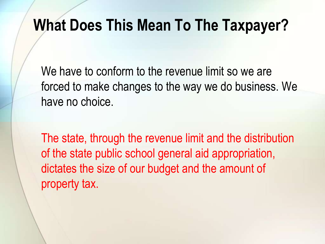#### **What Does This Mean To The Taxpayer?**

We have to conform to the revenue limit so we are forced to make changes to the way we do business. We have no choice.

The state, through the revenue limit and the distribution of the state public school general aid appropriation, dictates the size of our budget and the amount of property tax.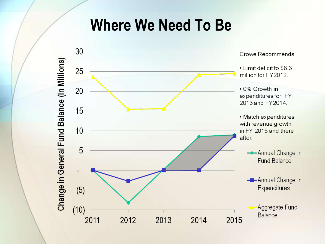#### **Where We Need To Be**

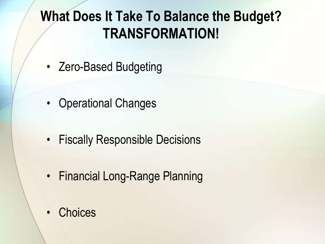#### **What Does It Take To Balance the Budget? TRANSFORMATION!**

- Zero-Based Budgeting
- Operational Changes
- Fiscally Responsible Decisions
- Financial Long-Range Planning
- **Choices**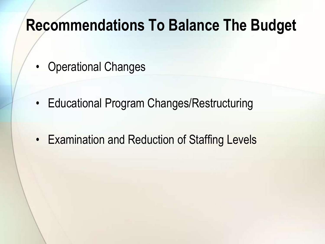#### **Recommendations To Balance The Budget**

- Operational Changes
- Educational Program Changes/Restructuring
- Examination and Reduction of Staffing Levels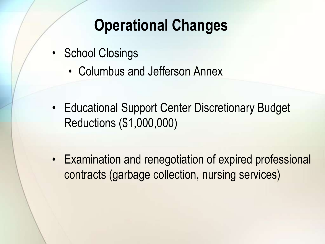## **Operational Changes**

- School Closings
	- Columbus and Jefferson Annex
- Educational Support Center Discretionary Budget Reductions (\$1,000,000)
- Examination and renegotiation of expired professional contracts (garbage collection, nursing services)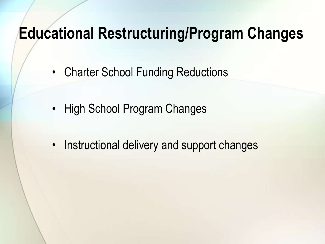#### **Educational Restructuring/Program Changes**

- Charter School Funding Reductions
- High School Program Changes
- Instructional delivery and support changes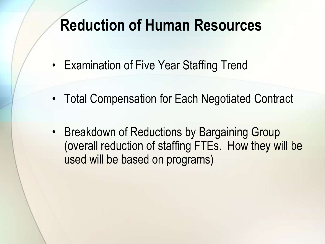#### **Reduction of Human Resources**

- Examination of Five Year Staffing Trend
- Total Compensation for Each Negotiated Contract
- Breakdown of Reductions by Bargaining Group (overall reduction of staffing FTEs. How they will be used will be based on programs)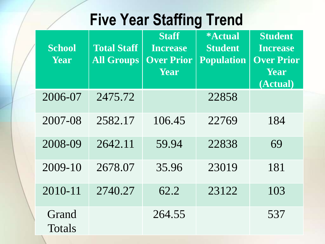## **Five Year Staffing Trend**

| <b>School</b><br>Year | <b>Total Staff</b><br><b>All Groups</b> | <b>Staff</b><br>Increase<br><b>Over Prior</b><br>Year | <i><b>*Actual</b></i><br><b>Student</b><br><b>Population</b> | <b>Student</b><br><b>Increase</b><br><b>Over Prior</b><br>Year<br>(Actual) |
|-----------------------|-----------------------------------------|-------------------------------------------------------|--------------------------------------------------------------|----------------------------------------------------------------------------|
| 2006-07               | 2475.72                                 |                                                       | 22858                                                        |                                                                            |
| 2007-08               | 2582.17                                 | 106.45                                                | 22769                                                        | 184                                                                        |
| 2008-09               | 2642.11                                 | 59.94                                                 | 22838                                                        | 69                                                                         |
| $2009-10$             | 2678.07                                 | 35.96                                                 | 23019                                                        | 181                                                                        |
| 2010-11               | 2740.27                                 | 62.2                                                  | 23122                                                        | 103                                                                        |
| Grand<br>Totals       |                                         | 264.55                                                |                                                              | 537                                                                        |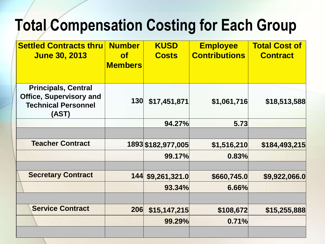## **Total Compensation Costing for Each Group**

| <b>Settled Contracts thru</b><br><b>June 30, 2013</b>                                               | <b>Number</b><br>$\mathsf{of}$<br><b>Members</b> | <b>KUSD</b><br><b>Costs</b>  | <b>Employee</b><br><b>Contributions</b> | <b>Total Cost of</b><br><b>Contract</b> |
|-----------------------------------------------------------------------------------------------------|--------------------------------------------------|------------------------------|-----------------------------------------|-----------------------------------------|
| <b>Principals, Central</b><br><b>Office, Supervisory and</b><br><b>Technical Personnel</b><br>(AST) | 130                                              | \$17,451,871                 | \$1,061,716                             | \$18,513,588                            |
|                                                                                                     |                                                  | 94.27%                       | 5.73                                    |                                         |
| <b>Teacher Contract</b>                                                                             |                                                  | 1893 \$182,977,005<br>99.17% | \$1,516,210<br>0.83%                    | \$184,493,215                           |
| <b>Secretary Contract</b>                                                                           | 144                                              | \$9,261,321.0<br>93.34%      | \$660,745.0<br>6.66%                    | \$9,922,066.0                           |
| <b>Service Contract</b>                                                                             | 206                                              | \$15,147,215<br>99.29%       | \$108,672<br>0.71%                      | \$15,255,888                            |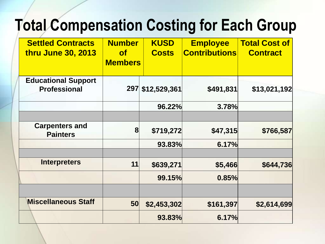## **Total Compensation Costing for Each Group**

| <b>Settled Contracts</b><br><b>thru June 30, 2013</b> | <b>Number</b><br>of<br><b>Members</b> | <b>KUSD</b><br><b>Costs</b> | <b>Employee</b><br><b>Contributions</b> | <b>Total Cost of</b><br><b>Contract</b> |
|-------------------------------------------------------|---------------------------------------|-----------------------------|-----------------------------------------|-----------------------------------------|
| <b>Educational Support</b><br><b>Professional</b>     | 297                                   | \$12,529,361                | \$491,831                               | \$13,021,192                            |
|                                                       |                                       | 96.22%                      | 3.78%                                   |                                         |
| <b>Carpenters and</b><br><b>Painters</b>              | $\bf{8}$                              | \$719,272                   | \$47,315                                | \$766,587                               |
|                                                       |                                       | 93.83%                      | 6.17%                                   |                                         |
| <b>Interpreters</b>                                   | 11                                    | \$639,271                   | \$5,466                                 | \$644,736                               |
|                                                       |                                       | 99.15%                      | 0.85%                                   |                                         |
| <b>Miscellaneous Staff</b>                            | 50                                    | \$2,453,302                 | \$161,397                               | \$2,614,699                             |
|                                                       |                                       | 93.83%                      | 6.17%                                   |                                         |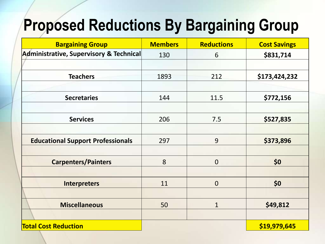## **Proposed Reductions By Bargaining Group**

| <b>Bargaining Group</b>                  | <b>Members</b> | <b>Reductions</b> | <b>Cost Savings</b> |
|------------------------------------------|----------------|-------------------|---------------------|
| Administrative, Supervisory & Technical  | 130            | 6                 | \$831,714           |
|                                          |                |                   |                     |
| <b>Teachers</b>                          | 1893           | 212               | \$173,424,232       |
| <b>Secretaries</b>                       | 144            | 11.5              | \$772,156           |
| <b>Services</b>                          | 206            | 7.5               | \$527,835           |
| <b>Educational Support Professionals</b> | 297            | 9                 | \$373,896           |
| <b>Carpenters/Painters</b>               | 8              | $\overline{0}$    | \$0                 |
| <b>Interpreters</b>                      | 11             | $\mathbf 0$       | \$0                 |
| <b>Miscellaneous</b>                     | 50             | $\mathbf{1}$      | \$49,812            |
| <b>Total Cost Reduction</b>              |                |                   | \$19,979,645        |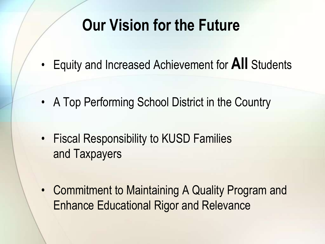## **Our Vision for the Future**

- Equity and Increased Achievement for **All** Students
- A Top Performing School District in the Country
- Fiscal Responsibility to KUSD Families and Taxpayers
- Commitment to Maintaining A Quality Program and Enhance Educational Rigor and Relevance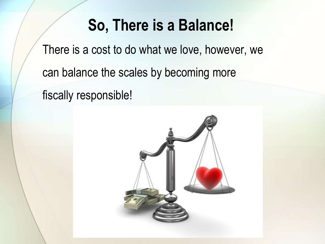#### **So, There is a Balance!**

There is a cost to do what we love, however, we can balance the scales by becoming more fiscally responsible!